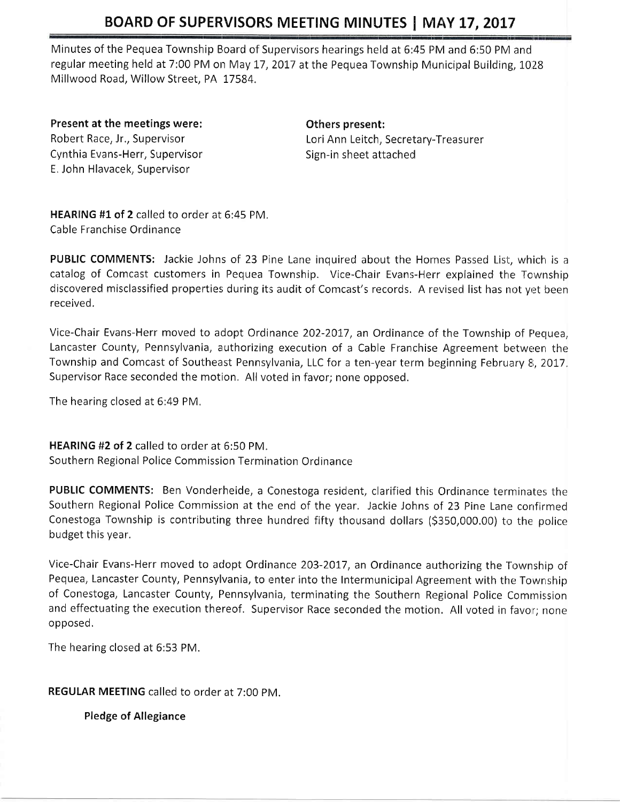Minutes of the Pequea Township Board of Supervisors hearings held at 6:45 PM and 6:50 PM and regular meeting held at 7:00 PM on May 17, 2017 at the Pequea Township Municipal Building, 1028 Millwood Road, Willow Street, PA 17584.

Present at the meetings were: Robert Race, Jr., Supervisor Cynthia Evans-Herr, Supervisor E. John Hlavacek, Supervisor

Others present: Lori Ann Leitch, Secretary-Treasurer Sign-in sheet attached

HEARING #1 of 2 called to order at 6:45 PM. Cable Franchise Ordinance

PUBLIC COMMENTS: Jackie Johns of 23 Pine Lane inquired about the Homes Passed List, which is a catalog of Comcast customers in Pequea Township. Vice-Chair Evans-Herr explained the Township discovered misclassified properties during its audit of Comcast's records. A revised list has not yet been received,

Vice-Chair Evans-Herr moved to adopt Ordinance 202-2017, an Ordinance of the Township of Pequea, Lancaster County, Pennsylvania, authorizing execution of a Cable Franchise Agreement between the Township and Comcast of Southeast Pennsylvania, LLC for a ten-year term beginning February 8, 2017. Supervisor Race seconded the motion. All voted in favor; none opposed.

The hearing closed at 6:49 PM,

HEARING #2 of 2 called to order at  $6:50$  PM. Southern Regional Police Commission Termination Ordinance

PUBLIC COMMENTS: Ben Vonderheide, a Conestoga resident, clarified this Ordinance terminates the Southern Regional Police Commission at the end of the year. Jackie Johns of 23 Pine Lane confirmed Conestoga Township is contributing three hundred fifty thousand dollars (\$350,000.00) to the police budget this year.

Vice-Chair Evans-Herr moved to adopt Ordinance 203-2017, an Ordinance authorizing the Township of Pequea, Lancaster County, Pennsylvania, to enter into the Intermunicipal Agreement with the Township of Conestoga, Lancaster County, Pennsylvania, terminating the Southern Regional Police Commission and effectuating the execution thereof. Supervisor Race seconded the motion. All voted in favor; none opposed.

The hearing closed at 6:53 PM.

REGULAR MEETING called to order at 7:00 PM.

Pledge of Allegiance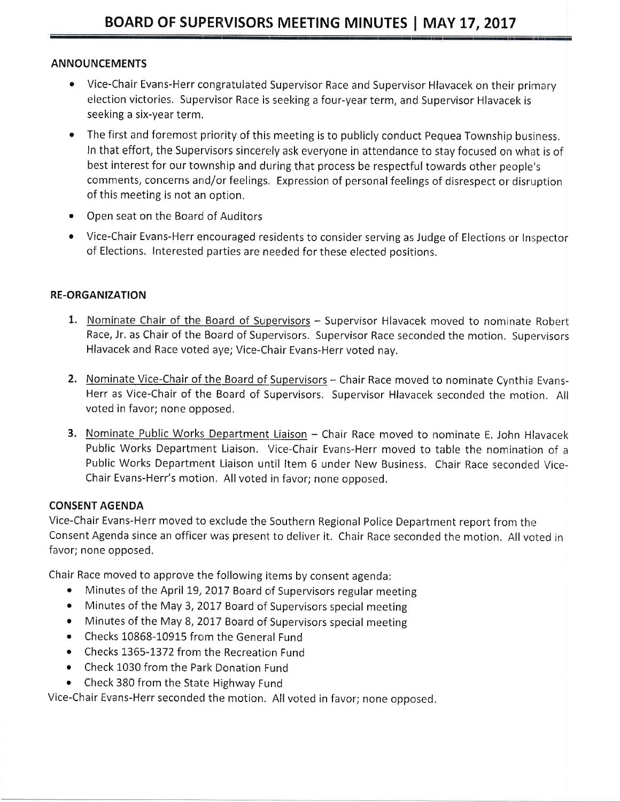### **ANNOUNCEMENTS**

- Vice-Chair Evans-Herr congratulated Supervisor Race and Supervisor Hlavacek on their primary election victories. Supervisor Race is seeking a four-year term, and Supervisor Hlavacek is seeking a six-year term.
- The first and foremost priority of this meeting is to publicly conduct Pequea Township business.  $\bullet$ In that effort, the Supervisors sincerely ask everyone in attendance to stay focused on what is of best interest for our township and during that process be respectful towards other people's comments, concerns and/or feelings. Expression of personal feelings of disrespect or disruption of this meeting is not an option.
- $\bullet$ Open seat on the Board of Auditors
- Vice-Chair Evans-Herr encouraged residents to consider serving as Judge of Elections or Inspector of Elections. Interested parties are needed for these elected positions.

## **RE-ORGANIZATION**

- 1. Nominate Chair of the Board of Supervisors Supervisor Hlavacek moved to nominate Robert Race, Jr. as Chair of the Board of Supervisors. Supervisor Race seconded the motion. Supervisors Hlavacek and Race voted aye; Vice-Chair Evans-Herr voted nay.
- 2. Nominate Vice-Chair of the Board of Supervisors Chair Race moved to nominate Cynthia Evans-Herr as Vice-Chair of the Board of Supervisors. Supervisor Hlavacek seconded the motion. All voted in favor; none opposed.
- 3. Nominate Public Works Department Liaison Chair Race moved to nominate E. John Hlavacek Public Works Department Liaison. Vice-Chair Evans-Herr moved to table the nomination of a Public Works Department Liaison until Item 6 under New Business. Chair Race seconded Vice-Chair Evans-Herr's motion. All voted in favor; none opposed.

## **CONSENT AGENDA**

Vice-Chair Evans-Herr moved to exclude the Southern Regional Police Department report from the Consent Agenda since an officer was present to deliver it. Chair Race seconded the motion. All voted in favor; none opposed.

Chair Race moved to approve the following items by consent agenda:

- Minutes of the April 19, 2017 Board of Supervisors regular meeting
- Minutes of the May 3, 2017 Board of Supervisors special meeting
- Minutes of the May 8, 2017 Board of Supervisors special meeting
- Checks 10868-10915 from the General Fund
- Checks 1365-1372 from the Recreation Fund
- Check 1030 from the Park Donation Fund
- Check 380 from the State Highway Fund

Vice-Chair Evans-Herr seconded the motion. All voted in favor; none opposed.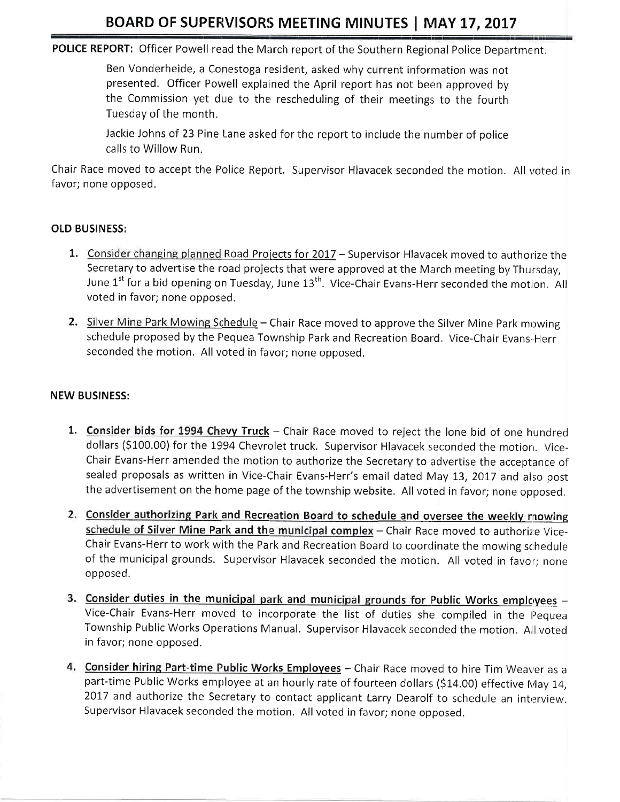POLICE REPORT: Officer Powell read the March report of the Southern Regional Police Department.

Ben Vonderheide, a Conestoga resident, asked why current inforrnation was not presented. Officer Powell explained the April report has not been approved by the Commission yet due to the rescheduling of their meetings to the fourth Tuesday of the month.

Jackie Johns of 23 Pine Lane asked for the report to include the number of police calls to Willow Run.

Chair Race moved to accept the Police Report. Supervisor Hlavacek seconded the motion. All voted in favor; none opposed.

## OLD BUSINESS:

- 1. Consider changing planned Road Projects for 2017 Supervisor Hlavacek moved to authorize the Secretary to advertise the road projects that were approved at the March meeting by Thursday, June  $1^{st}$  for a bid opening on Tuesday, June  $13^{th}$ . Vice-Chair Evans-Herr seconded the motion. All voted in favor; none opposed.
- 2. Silver Mine Park Mowing Schedule Chair Race moved to approve the Silver Mine Park mowing schedule proposed by the Pequea Township Park and Recreation Board. Vice-Chair Evans-herr seconded the motion. All voted in favor; none opposed.

## NEW BUSINESS:

- 1. Consider bids for 1994 Chevy Truck Chair Race moved to reject the lone bid of one hundred dollars (\$100.00) for the 1994 Chevrolet truck. Supervisor Hlavacek seconded the motion. Vice-Chair Evans-Herr amended the motion to authorize the Secretary to advertise the acceptance of sealed proposals as written in Vice-Chair Evans-Herr's email dated May 13, 2017 and also post the advertisement on the home page of the township website. All voted in favor; none opposed.
- 2. Consider authorizing Park and Recreation Board to schedule and oversee the weekly mowing schedule of Silver Mine Park and the municipal complex - Chair Race moved to authorize Vice-Chair Evans-Herr to work with the Park and Recreation Board to coordinate the mowing schedule of the municipal grounds. Supervisor Hlavacek seconded the motion. All voted in favor; none opposed,
- 3. Consider duties in the municipal park and municipal grounds for Public Works employees -Vice-Chair Evans-Herr moved to incorporate the list of duties she compiled in the Pequea Township Public Works Operations Manual. Supervisor Hlavacek seconded the motion. All voted in favor; none opposed.
- 4. Consider hiring Part-time Public Works Employees Chair Race moved to hire Tim Weaver as a part-time Public Works employee at an hourly rate of fourteen dollars (\$14.00) effective May 14, 2017 and authorize the Secretary to contact applicant Larry Dearolf to schedule an interview. Supervisor Hlavacek seconded the motion. All voted in favor; none opposed.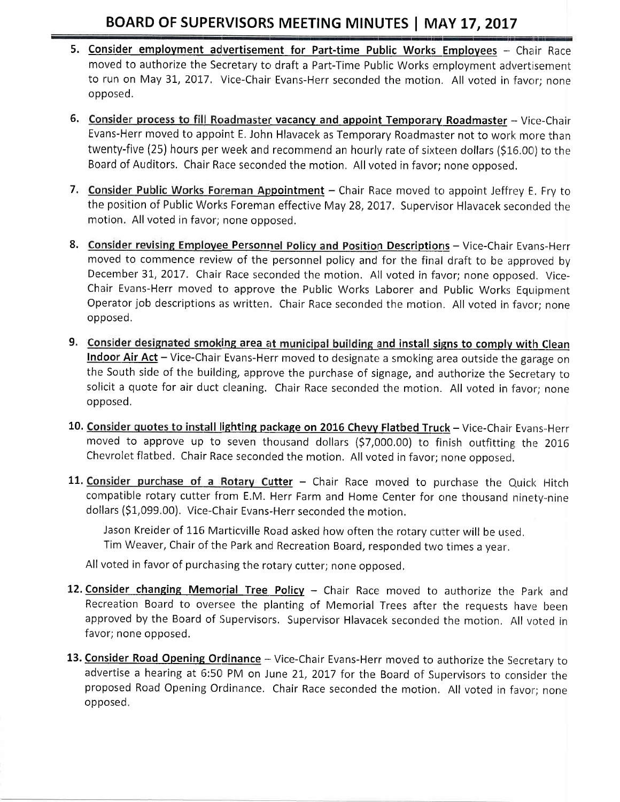- 5. Consider employment advertisement for Part-time Public Works Employees -- Chair Race moved to authorize the Secretary to draft a Part-Time Public Works employment advertisement to run on May 31, 2017. Vice-Chair Evans-Herr seconded the motion. All voted in favor; none opposed.
- 6. Consider process to fill Roadmaster vacancy and appoint Temporary Roadmaster Vice-Chair Evans-Herr moved to appoint E. John Hlavacek as Temporary Roadmaster not to work more than twenty-five (25) hours per week and recommend an hourly rate of sixteen dollars (\$16.00) to the Board of Auditors. Chair Race seconded the motion. All voted in favor; none opposed.
- 7. Consider Public Works Foreman Appointment Chair Race moved to appoint Jeffrey E. Fry to the position of Public Works Foreman effective May 28, 2017. Supervisor Hlavacek seconded the motion. All voted in favor; none opposed,
- 8. Consider revising Employee Personnel Policy and Position Descriptions Vice-Chair Evans-Herr moved to commence review of the personnel policy and for the final draft to be approved by December 31, 2017. Chair Race seconded the motion. All voted in favor; none opposed. Vice-Chair Evans-Herr moved to approve the Public Works Laborer and Public Works Equipment Operator job descriptions as written. Chair Race seconded the motion. All voted in favor; none opposed.
- 9. Consider designated smoking area at municipal building and install signs to comply with Clean Indoor Air Act - Vice-Chair Evans-Herr moved to designate a smoking area outside the garage on the South side of the building, approve the purchase of signage, and authorize the Secretary to solicit a quote for air duct cleaning. Chair Race seconded the motion. All voted in favor; none opposed,
- 10. Consider quotes to install lighting package on 2016 Chevy Flatbed Truck Vice-Chair Evans-Herr moved to approve up to seven thousand dollars (\$7,000.00) to finish outfitting the 2016 Chevrolet flatbed. Chair Race seconded the motion. All voted in favor; none opposed.
- 11. Consider purchase of a Rotary Cutter Chair Race moved to purchase the Quick Hitch compatible rotary cutter from E.M. Herr Farm and Home Center for one thousand ninety-nine dollars (S1,099.00). Vice-Chair Evans-Herr seconded the motion.

Jason Kreider of 116 Marticville Road asked how often the rotary cutter will be used. Tim Weaver, Chair of the Park and Recreation Board, responded two times a year.

All voted in favor of purchasing the rotary cutter; none opposed.

- 12. Consider changing Memorial Tree Policy Chair Race moved to authorize the Park and Recreation Board to oversee the planting of Memorial Trees after the requests have been approved by the Board of Supervisors. Supervisor Hlavacek seconded the motion. All voted in favor; none opposed.
- 13. Consider Road Opening Ordinance Vice-Chair Evans-Herr moved to authorize the Secretary to advertise a hearing at 6:50 PM on June 21, 2017 for the Board of Supervisors to consider the proposed Road Opening Ordinance. Chair Race seconded the motion. All voted in favor; none opposed.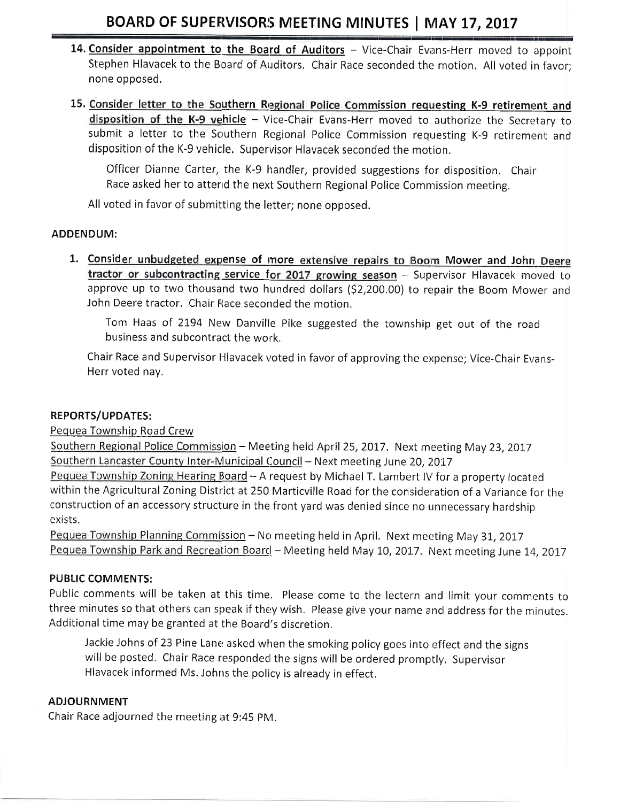- 14. Consider appointment to the Board of Auditors Vice-Chair Evans-Herr moved to appoint Stephen Hlavacek to the Board of Auditors. Chair Race seconded the motion. All voted in favor; none opposed,
- 15. Consider letter to the Southern Regional Police Commission requesting K-9 retirement and disposition of the K-9 vehicle - Vice-Chair Evans-Herr moved to authorize the Secretary to submit a letter to the Southern Regional Police Commission requesting K-9 retirement and disposition of the K-9 vehicle. Supervisor Hlavacek seconded the motion.

Officer Dianne Carter, the K-9 handler, provided suggestions fon disposition. Chair Race asked her to attend the next Southern Regional Police Commission meeting.

All voted in favor of submitting the letter; none opposed.

### ADDENDUM:

1. Consider unbudgeted expense of more extensive repairs to Boom Mower and John Deere tractor or subcontracting service for 2017 growing season  $-$  Supervisor Hlavacek moved to approve up to two thousand two hundred dollars (\$2,200.00) to repair the Boom Mower and John Deere tractor. Chair Race seconded the motion.

Tom Haas of 2194 New Danville Pike suggested the township get out of the road business and subcontract the work.

Chair Race and Supervisor Hlavacek voted in favor of approving the expense; Vice-Chair Evans-Herr voted nay.

### REPORTS/UPDATES:

Pequea Township Road Crew

Southern Regional Police Commission - Meeting held April 25, 2017. Next meeting May 23, 2017 Southern Lancaster County Inter-Municipal Council - Next meeting June 20, 2017

Pequea Township Zoning Hearing Board - A request by Michael T. Lambert IV for a property located within the Agricultural Zoning District at 250 Marticville Road for the consideration of a Variance for the construction of an accessory structure in the front yard was denied since no unnecessary hardship exists.

Pequea Township Planning Commission - No meeting held in April. Next meeting May 31, 2017 Pequea Township Park and Recreation Board - Meeting held May 10, 2017. Next meeting June 14, 2017

### PUBLIC COMMENTS:

Public comments will be taken at this time. Please come to the lectern and limit your comments to three minutes so that others can speak if they wish. Please give your name and address for the minutes. Additional time may be granted at the Board's discretion.

Jackie Johns of 23 Pine Lane asked when the smoking policy goes into effect and the signs will be posted. Chair Race responded the signs will be ordered promptly. Supervisor Hlavacek informed Ms. Johns the policy is already in effect.

## ADJOURNMENT

Chair Race adjourned the meeting at 9:45 PM.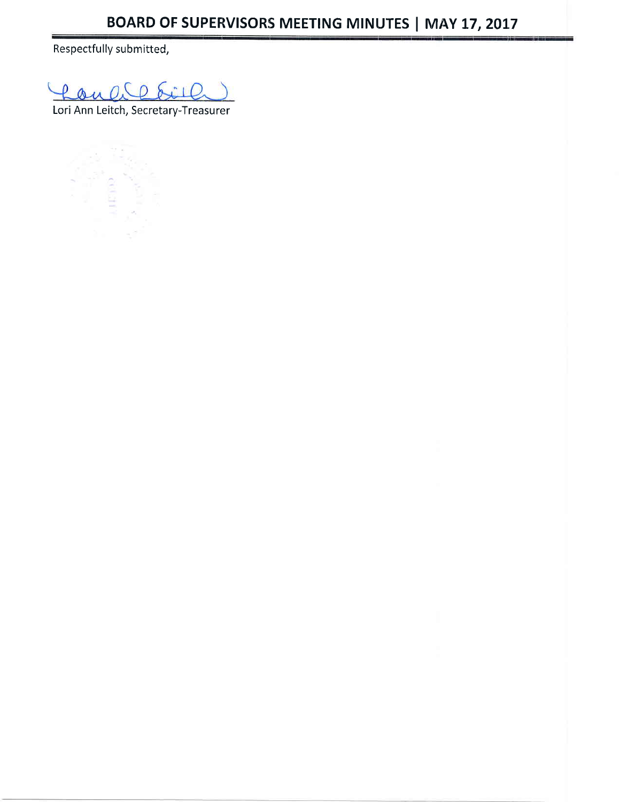Respectfully submitted,

Lon  $0.00$  $\sum_{i=1}^{n}$ 

Lori Ann Leitch, Secretary-Treasurer